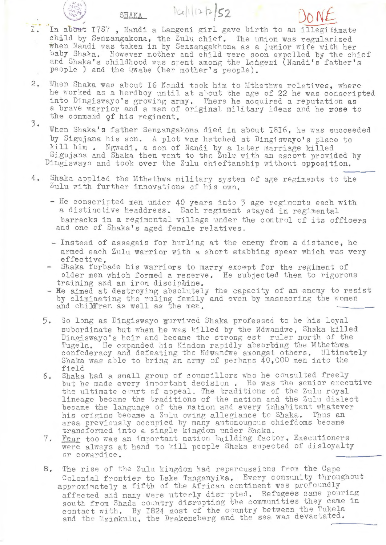I.  $SLAKA$   $|l| (2 |2) S2$ **Nf**  In about 1787, Nandi a Langeni girl gave birth to an illegitimate child by Senzangakona, the Zulu chief. The union was regularized when Nandi was taken in by Senzangakhona as a junior wife with her baby Shaka. However mother and child were soon expelled by the chief and Shaka's childhood was spent among the Langeni (Nandi's father's people ) and the Qwabe (her mother's people).

/ **41**   $\mathcal{L}$   $\approx$   $\mathcal{L}$  $U_{\gamma}$ <sup> $\beta$ </sup>

- 2. When Shaka was about 16 Nandi took him to Mthethwa relatives, where he worked as a herdboy until at a'out the age of 22 he was conscripted into Dingiswayo's growing army. There he acquired a reputation as a brave warrior and a man of original military ideas and he rose to the command of his regiment.
- 3. When Shaka's father Senzangakona died in about 1816, he was succeeded by Sigujana his son. A plot was hatched at Dingiswayo's place to kill him. Ngwadi, a son of Nandi by a later marriage killed Sigujana and Shaka then went to the Zulu with an escort provided by Dingiswayo and took over the Zulu chieftanship without opposition.
- 4. Shaka applied the Mthethwa military system of age regiments to the Aulu with further innovations of his own.
	- He conscripted men under 40 years into 3 age regiments each with a distinctive headdress. Each regiment stayed in regimental barracks in a regimental village under the control of its officers and one of Shaka's aged female relatives.
	- Instead of assagais for hurling at the enemy from a distance, he armed each Zulu warrior with a short stabbing spear which was very effective.
	- Shaka forbade his warriors to marry except for the regiment of older men which formed a reserve. He subjected them to rigorous training and an iron disciphine.
	- He aimed at destroying absolutely the capacity of an enemy to resist by eliminating the ruling family and even by massacring the women<br>and child:ren as well as the men.
	- 5. So long as Dingiswayo **s·irvi** ved Shaka professed to be his loyal subordinate but when he was killed by the Ndwandwe, Shaka killed Dingiswayo's heir and became the strong est ruler north of the Tugela. He expanded his Kindom rapidly absorbing the Mthethwa confederacy and defeating the Ndwandwe amongst others. Ultimately Shaka was able to bring an army of perhaps  $40,000$  men into the field
	- 6. Shaka had a small group of councillors who he consulted freely but he made every important decision. He was the senior executive the ultimate court of appeal. The traditions of the Zulu royal lineage became the traditions of the nation and the Zulu dialect became the language of the nation and every inhabitant whatever his origins became a Zulu owing allegiance to Shaka. Thus an area previously occupied by many autonoumous chiefdoms became transformed into a single kingdom under Shaka.
	- 7. Fear too was an important nation building factor, Executioners were always at hand to kill people Shaka supected of disloyalty or cowardice.
	- 8. The rise of the Zulu kingdom had repercussions from the Cape Colonial frontier to Lake Tanganyika. Every community throughout approximately a fifth of the African continent was profoundly affected and many were utterly disr pted. Refugees came pouring south from Shada country disrupting the communities they came in contact with. By 1824 most of the country between the Tukela<br>and the Mzimkulu, the Drakensberg and the sea was devastated.